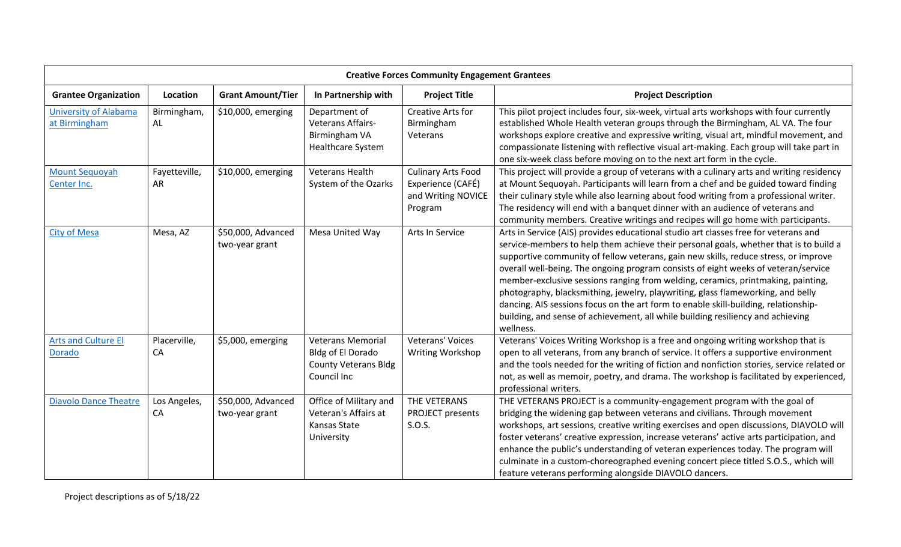| <b>Creative Forces Community Engagement Grantees</b> |                     |                                      |                                                                                             |                                                                                 |                                                                                                                                                                                                                                                                                                                                                                                                                                                                                                                                                                                                                                                                                                                         |  |
|------------------------------------------------------|---------------------|--------------------------------------|---------------------------------------------------------------------------------------------|---------------------------------------------------------------------------------|-------------------------------------------------------------------------------------------------------------------------------------------------------------------------------------------------------------------------------------------------------------------------------------------------------------------------------------------------------------------------------------------------------------------------------------------------------------------------------------------------------------------------------------------------------------------------------------------------------------------------------------------------------------------------------------------------------------------------|--|
| <b>Grantee Organization</b>                          | Location            | <b>Grant Amount/Tier</b>             | In Partnership with                                                                         | <b>Project Title</b>                                                            | <b>Project Description</b>                                                                                                                                                                                                                                                                                                                                                                                                                                                                                                                                                                                                                                                                                              |  |
| <b>University of Alabama</b><br>at Birmingham        | Birmingham,<br>AL   | \$10,000, emerging                   | Department of<br>Veterans Affairs-<br>Birmingham VA<br>Healthcare System                    | <b>Creative Arts for</b><br>Birmingham<br>Veterans                              | This pilot project includes four, six-week, virtual arts workshops with four currently<br>established Whole Health veteran groups through the Birmingham, AL VA. The four<br>workshops explore creative and expressive writing, visual art, mindful movement, and<br>compassionate listening with reflective visual art-making. Each group will take part in<br>one six-week class before moving on to the next art form in the cycle.                                                                                                                                                                                                                                                                                  |  |
| <b>Mount Sequoyah</b><br>Center Inc.                 | Fayetteville,<br>AR | \$10,000, emerging                   | Veterans Health<br>System of the Ozarks                                                     | <b>Culinary Arts Food</b><br>Experience (CAFÉ)<br>and Writing NOVICE<br>Program | This project will provide a group of veterans with a culinary arts and writing residency<br>at Mount Sequoyah. Participants will learn from a chef and be guided toward finding<br>their culinary style while also learning about food writing from a professional writer.<br>The residency will end with a banquet dinner with an audience of veterans and<br>community members. Creative writings and recipes will go home with participants.                                                                                                                                                                                                                                                                         |  |
| <b>City of Mesa</b>                                  | Mesa, AZ            | \$50,000, Advanced<br>two-year grant | Mesa United Way                                                                             | Arts In Service                                                                 | Arts in Service (AIS) provides educational studio art classes free for veterans and<br>service-members to help them achieve their personal goals, whether that is to build a<br>supportive community of fellow veterans, gain new skills, reduce stress, or improve<br>overall well-being. The ongoing program consists of eight weeks of veteran/service<br>member-exclusive sessions ranging from welding, ceramics, printmaking, painting,<br>photography, blacksmithing, jewelry, playwriting, glass flameworking, and belly<br>dancing. AIS sessions focus on the art form to enable skill-building, relationship-<br>building, and sense of achievement, all while building resiliency and achieving<br>wellness. |  |
| <b>Arts and Culture El</b><br><b>Dorado</b>          | Placerville,<br>CA  | \$5,000, emerging                    | <b>Veterans Memorial</b><br>Bldg of El Dorado<br><b>County Veterans Bldg</b><br>Council Inc | Veterans' Voices<br>Writing Workshop                                            | Veterans' Voices Writing Workshop is a free and ongoing writing workshop that is<br>open to all veterans, from any branch of service. It offers a supportive environment<br>and the tools needed for the writing of fiction and nonfiction stories, service related or<br>not, as well as memoir, poetry, and drama. The workshop is facilitated by experienced,<br>professional writers.                                                                                                                                                                                                                                                                                                                               |  |
| <b>Diavolo Dance Theatre</b>                         | Los Angeles,<br>CA  | \$50,000, Advanced<br>two-year grant | Office of Military and<br>Veteran's Affairs at<br>Kansas State<br>University                | THE VETERANS<br>PROJECT presents<br>S.O.S.                                      | THE VETERANS PROJECT is a community-engagement program with the goal of<br>bridging the widening gap between veterans and civilians. Through movement<br>workshops, art sessions, creative writing exercises and open discussions, DIAVOLO will<br>foster veterans' creative expression, increase veterans' active arts participation, and<br>enhance the public's understanding of veteran experiences today. The program will<br>culminate in a custom-choreographed evening concert piece titled S.O.S., which will<br>feature veterans performing alongside DIAVOLO dancers.                                                                                                                                        |  |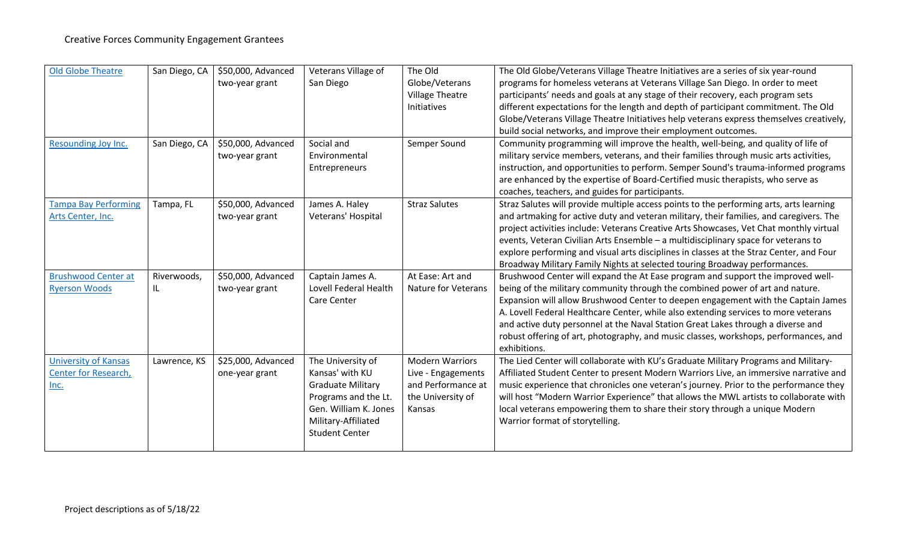| <b>Old Globe Theatre</b>    | San Diego, CA | \$50,000, Advanced | Veterans Village of      | The Old                    | The Old Globe/Veterans Village Theatre Initiatives are a series of six year-round       |
|-----------------------------|---------------|--------------------|--------------------------|----------------------------|-----------------------------------------------------------------------------------------|
|                             |               | two-year grant     | San Diego                | Globe/Veterans             | programs for homeless veterans at Veterans Village San Diego. In order to meet          |
|                             |               |                    |                          | <b>Village Theatre</b>     | participants' needs and goals at any stage of their recovery, each program sets         |
|                             |               |                    |                          | Initiatives                | different expectations for the length and depth of participant commitment. The Old      |
|                             |               |                    |                          |                            | Globe/Veterans Village Theatre Initiatives help veterans express themselves creatively, |
|                             |               |                    |                          |                            | build social networks, and improve their employment outcomes.                           |
| Resounding Joy Inc.         | San Diego, CA | \$50,000, Advanced | Social and               | Semper Sound               | Community programming will improve the health, well-being, and quality of life of       |
|                             |               | two-year grant     | Environmental            |                            | military service members, veterans, and their families through music arts activities,   |
|                             |               |                    | Entrepreneurs            |                            | instruction, and opportunities to perform. Semper Sound's trauma-informed programs      |
|                             |               |                    |                          |                            | are enhanced by the expertise of Board-Certified music therapists, who serve as         |
|                             |               |                    |                          |                            | coaches, teachers, and guides for participants.                                         |
| <b>Tampa Bay Performing</b> | Tampa, FL     | \$50,000, Advanced | James A. Haley           | <b>Straz Salutes</b>       | Straz Salutes will provide multiple access points to the performing arts, arts learning |
| Arts Center, Inc.           |               | two-year grant     | Veterans' Hospital       |                            | and artmaking for active duty and veteran military, their families, and caregivers. The |
|                             |               |                    |                          |                            | project activities include: Veterans Creative Arts Showcases, Vet Chat monthly virtual  |
|                             |               |                    |                          |                            | events, Veteran Civilian Arts Ensemble - a multidisciplinary space for veterans to      |
|                             |               |                    |                          |                            | explore performing and visual arts disciplines in classes at the Straz Center, and Four |
|                             |               |                    |                          |                            | Broadway Military Family Nights at selected touring Broadway performances.              |
| <b>Brushwood Center at</b>  | Riverwoods,   | \$50,000, Advanced | Captain James A.         | At Ease: Art and           | Brushwood Center will expand the At Ease program and support the improved well-         |
| <b>Ryerson Woods</b>        | IL            | two-year grant     | Lovell Federal Health    | <b>Nature for Veterans</b> | being of the military community through the combined power of art and nature.           |
|                             |               |                    | Care Center              |                            | Expansion will allow Brushwood Center to deepen engagement with the Captain James       |
|                             |               |                    |                          |                            | A. Lovell Federal Healthcare Center, while also extending services to more veterans     |
|                             |               |                    |                          |                            | and active duty personnel at the Naval Station Great Lakes through a diverse and        |
|                             |               |                    |                          |                            | robust offering of art, photography, and music classes, workshops, performances, and    |
|                             |               |                    |                          |                            | exhibitions.                                                                            |
| <b>University of Kansas</b> | Lawrence, KS  | \$25,000, Advanced | The University of        | <b>Modern Warriors</b>     | The Lied Center will collaborate with KU's Graduate Military Programs and Military-     |
| Center for Research,        |               | one-year grant     | Kansas' with KU          | Live - Engagements         | Affiliated Student Center to present Modern Warriors Live, an immersive narrative and   |
| Inc.                        |               |                    | <b>Graduate Military</b> | and Performance at         | music experience that chronicles one veteran's journey. Prior to the performance they   |
|                             |               |                    | Programs and the Lt.     | the University of          | will host "Modern Warrior Experience" that allows the MWL artists to collaborate with   |
|                             |               |                    | Gen. William K. Jones    | Kansas                     | local veterans empowering them to share their story through a unique Modern             |
|                             |               |                    | Military-Affiliated      |                            | Warrior format of storytelling.                                                         |
|                             |               |                    | <b>Student Center</b>    |                            |                                                                                         |
|                             |               |                    |                          |                            |                                                                                         |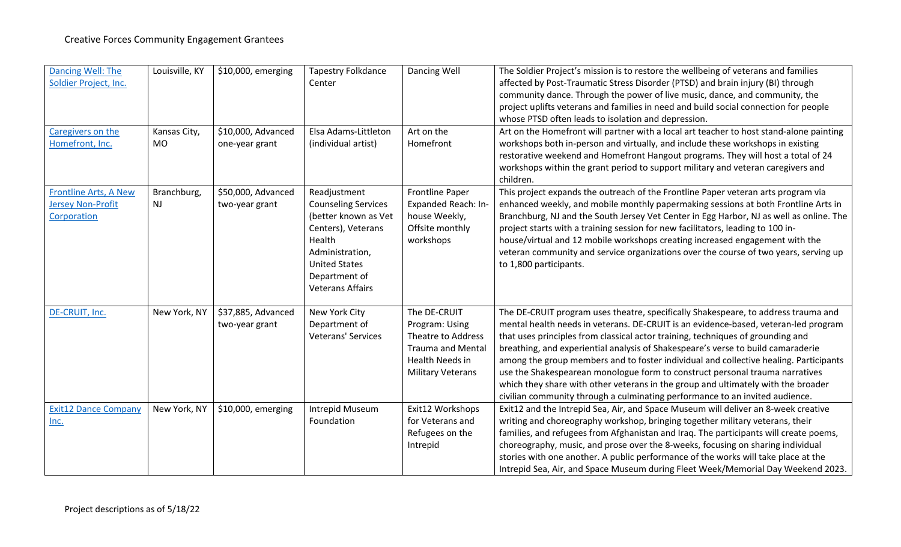| Dancing Well: The<br>Soldier Project, Inc.                              | Louisville, KY            | \$10,000, emerging                   | <b>Tapestry Folkdance</b><br>Center                                                                                                                                                       | Dancing Well                                                                                                                    | The Soldier Project's mission is to restore the wellbeing of veterans and families<br>affected by Post-Traumatic Stress Disorder (PTSD) and brain injury (BI) through<br>community dance. Through the power of live music, dance, and community, the<br>project uplifts veterans and families in need and build social connection for people<br>whose PTSD often leads to isolation and depression.                                                                                                                                                                                                                                                                                            |
|-------------------------------------------------------------------------|---------------------------|--------------------------------------|-------------------------------------------------------------------------------------------------------------------------------------------------------------------------------------------|---------------------------------------------------------------------------------------------------------------------------------|------------------------------------------------------------------------------------------------------------------------------------------------------------------------------------------------------------------------------------------------------------------------------------------------------------------------------------------------------------------------------------------------------------------------------------------------------------------------------------------------------------------------------------------------------------------------------------------------------------------------------------------------------------------------------------------------|
| Caregivers on the<br>Homefront, Inc.                                    | Kansas City,<br><b>MO</b> | \$10,000, Advanced<br>one-year grant | Elsa Adams-Littleton<br>(individual artist)                                                                                                                                               | Art on the<br>Homefront                                                                                                         | Art on the Homefront will partner with a local art teacher to host stand-alone painting<br>workshops both in-person and virtually, and include these workshops in existing<br>restorative weekend and Homefront Hangout programs. They will host a total of 24<br>workshops within the grant period to support military and veteran caregivers and<br>children.                                                                                                                                                                                                                                                                                                                                |
| <b>Frontline Arts, A New</b><br><b>Jersey Non-Profit</b><br>Corporation | Branchburg,<br>NJ         | \$50,000, Advanced<br>two-year grant | Readjustment<br><b>Counseling Services</b><br>(better known as Vet<br>Centers), Veterans<br>Health<br>Administration,<br><b>United States</b><br>Department of<br><b>Veterans Affairs</b> | Frontline Paper<br>Expanded Reach: In-<br>house Weekly,<br>Offsite monthly<br>workshops                                         | This project expands the outreach of the Frontline Paper veteran arts program via<br>enhanced weekly, and mobile monthly papermaking sessions at both Frontline Arts in<br>Branchburg, NJ and the South Jersey Vet Center in Egg Harbor, NJ as well as online. The<br>project starts with a training session for new facilitators, leading to 100 in-<br>house/virtual and 12 mobile workshops creating increased engagement with the<br>veteran community and service organizations over the course of two years, serving up<br>to 1,800 participants.                                                                                                                                        |
| DE-CRUIT, Inc.                                                          | New York, NY              | \$37,885, Advanced<br>two-year grant | New York City<br>Department of<br>Veterans' Services                                                                                                                                      | The DE-CRUIT<br>Program: Using<br>Theatre to Address<br><b>Trauma and Mental</b><br>Health Needs in<br><b>Military Veterans</b> | The DE-CRUIT program uses theatre, specifically Shakespeare, to address trauma and<br>mental health needs in veterans. DE-CRUIT is an evidence-based, veteran-led program<br>that uses principles from classical actor training, techniques of grounding and<br>breathing, and experiential analysis of Shakespeare's verse to build camaraderie<br>among the group members and to foster individual and collective healing. Participants<br>use the Shakespearean monologue form to construct personal trauma narratives<br>which they share with other veterans in the group and ultimately with the broader<br>civilian community through a culminating performance to an invited audience. |
| <b>Exit12 Dance Company</b><br>Inc.                                     | New York, NY              | \$10,000, emerging                   | Intrepid Museum<br>Foundation                                                                                                                                                             | Exit12 Workshops<br>for Veterans and<br>Refugees on the<br>Intrepid                                                             | Exit12 and the Intrepid Sea, Air, and Space Museum will deliver an 8-week creative<br>writing and choreography workshop, bringing together military veterans, their<br>families, and refugees from Afghanistan and Iraq. The participants will create poems,<br>choreography, music, and prose over the 8-weeks, focusing on sharing individual<br>stories with one another. A public performance of the works will take place at the<br>Intrepid Sea, Air, and Space Museum during Fleet Week/Memorial Day Weekend 2023.                                                                                                                                                                      |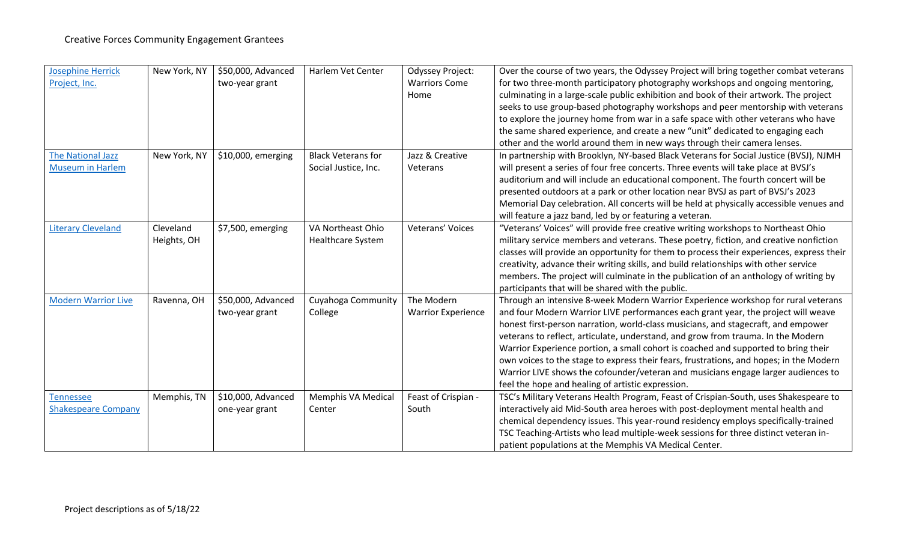| <b>Josephine Herrick</b>   | New York, NY | \$50,000, Advanced | Harlem Vet Center         | <b>Odyssey Project:</b>   | Over the course of two years, the Odyssey Project will bring together combat veterans    |
|----------------------------|--------------|--------------------|---------------------------|---------------------------|------------------------------------------------------------------------------------------|
| Project, Inc.              |              | two-year grant     |                           | <b>Warriors Come</b>      | for two three-month participatory photography workshops and ongoing mentoring,           |
|                            |              |                    |                           | Home                      | culminating in a large-scale public exhibition and book of their artwork. The project    |
|                            |              |                    |                           |                           | seeks to use group-based photography workshops and peer mentorship with veterans         |
|                            |              |                    |                           |                           | to explore the journey home from war in a safe space with other veterans who have        |
|                            |              |                    |                           |                           | the same shared experience, and create a new "unit" dedicated to engaging each           |
|                            |              |                    |                           |                           | other and the world around them in new ways through their camera lenses.                 |
| <b>The National Jazz</b>   | New York, NY | \$10,000, emerging | <b>Black Veterans for</b> | Jazz & Creative           | In partnership with Brooklyn, NY-based Black Veterans for Social Justice (BVSJ), NJMH    |
| <b>Museum in Harlem</b>    |              |                    | Social Justice, Inc.      | Veterans                  | will present a series of four free concerts. Three events will take place at BVSJ's      |
|                            |              |                    |                           |                           | auditorium and will include an educational component. The fourth concert will be         |
|                            |              |                    |                           |                           | presented outdoors at a park or other location near BVSJ as part of BVSJ's 2023          |
|                            |              |                    |                           |                           | Memorial Day celebration. All concerts will be held at physically accessible venues and  |
|                            |              |                    |                           |                           | will feature a jazz band, led by or featuring a veteran.                                 |
| <b>Literary Cleveland</b>  | Cleveland    | \$7,500, emerging  | VA Northeast Ohio         | Veterans' Voices          | "Veterans' Voices" will provide free creative writing workshops to Northeast Ohio        |
|                            | Heights, OH  |                    | Healthcare System         |                           | military service members and veterans. These poetry, fiction, and creative nonfiction    |
|                            |              |                    |                           |                           | classes will provide an opportunity for them to process their experiences, express their |
|                            |              |                    |                           |                           | creativity, advance their writing skills, and build relationships with other service     |
|                            |              |                    |                           |                           | members. The project will culminate in the publication of an anthology of writing by     |
|                            |              |                    |                           |                           | participants that will be shared with the public.                                        |
| <b>Modern Warrior Live</b> | Ravenna, OH  | \$50,000, Advanced | Cuyahoga Community        | The Modern                | Through an intensive 8-week Modern Warrior Experience workshop for rural veterans        |
|                            |              | two-year grant     | College                   | <b>Warrior Experience</b> | and four Modern Warrior LIVE performances each grant year, the project will weave        |
|                            |              |                    |                           |                           | honest first-person narration, world-class musicians, and stagecraft, and empower        |
|                            |              |                    |                           |                           | veterans to reflect, articulate, understand, and grow from trauma. In the Modern         |
|                            |              |                    |                           |                           | Warrior Experience portion, a small cohort is coached and supported to bring their       |
|                            |              |                    |                           |                           | own voices to the stage to express their fears, frustrations, and hopes; in the Modern   |
|                            |              |                    |                           |                           | Warrior LIVE shows the cofounder/veteran and musicians engage larger audiences to        |
|                            |              |                    |                           |                           | feel the hope and healing of artistic expression.                                        |
| <b>Tennessee</b>           | Memphis, TN  | \$10,000, Advanced | Memphis VA Medical        | Feast of Crispian -       | TSC's Military Veterans Health Program, Feast of Crispian-South, uses Shakespeare to     |
| <b>Shakespeare Company</b> |              | one-year grant     | Center                    | South                     | interactively aid Mid-South area heroes with post-deployment mental health and           |
|                            |              |                    |                           |                           | chemical dependency issues. This year-round residency employs specifically-trained       |
|                            |              |                    |                           |                           | TSC Teaching-Artists who lead multiple-week sessions for three distinct veteran in-      |
|                            |              |                    |                           |                           | patient populations at the Memphis VA Medical Center.                                    |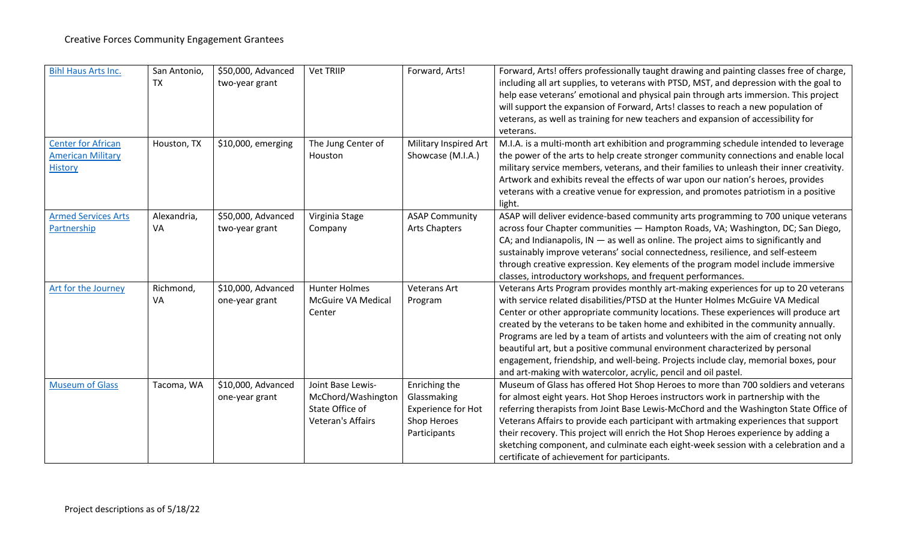| <b>Bihl Haus Arts Inc.</b>                                              | San Antonio,<br><b>TX</b> | \$50,000, Advanced<br>two-year grant | <b>Vet TRIIP</b>                                                                       | Forward, Arts!                                                                    | Forward, Arts! offers professionally taught drawing and painting classes free of charge,<br>including all art supplies, to veterans with PTSD, MST, and depression with the goal to<br>help ease veterans' emotional and physical pain through arts immersion. This project<br>will support the expansion of Forward, Arts! classes to reach a new population of<br>veterans, as well as training for new teachers and expansion of accessibility for<br>veterans.                                                                                                                                                                                                                    |
|-------------------------------------------------------------------------|---------------------------|--------------------------------------|----------------------------------------------------------------------------------------|-----------------------------------------------------------------------------------|---------------------------------------------------------------------------------------------------------------------------------------------------------------------------------------------------------------------------------------------------------------------------------------------------------------------------------------------------------------------------------------------------------------------------------------------------------------------------------------------------------------------------------------------------------------------------------------------------------------------------------------------------------------------------------------|
| <b>Center for African</b><br><b>American Military</b><br><b>History</b> | Houston, TX               | \$10,000, emerging                   | The Jung Center of<br>Houston                                                          | Military Inspired Art<br>Showcase (M.I.A.)                                        | M.I.A. is a multi-month art exhibition and programming schedule intended to leverage<br>the power of the arts to help create stronger community connections and enable local<br>military service members, veterans, and their families to unleash their inner creativity.<br>Artwork and exhibits reveal the effects of war upon our nation's heroes, provides<br>veterans with a creative venue for expression, and promotes patriotism in a positive<br>light.                                                                                                                                                                                                                      |
| <b>Armed Services Arts</b><br>Partnership                               | Alexandria,<br>VA         | \$50,000, Advanced<br>two-year grant | Virginia Stage<br>Company                                                              | <b>ASAP Community</b><br><b>Arts Chapters</b>                                     | ASAP will deliver evidence-based community arts programming to 700 unique veterans<br>across four Chapter communities - Hampton Roads, VA; Washington, DC; San Diego,<br>CA; and Indianapolis, $IN - as$ well as online. The project aims to significantly and<br>sustainably improve veterans' social connectedness, resilience, and self-esteem<br>through creative expression. Key elements of the program model include immersive<br>classes, introductory workshops, and frequent performances.                                                                                                                                                                                  |
| Art for the Journey                                                     | Richmond,<br>VA           | \$10,000, Advanced<br>one-year grant | <b>Hunter Holmes</b><br>McGuire VA Medical<br>Center                                   | <b>Veterans Art</b><br>Program                                                    | Veterans Arts Program provides monthly art-making experiences for up to 20 veterans<br>with service related disabilities/PTSD at the Hunter Holmes McGuire VA Medical<br>Center or other appropriate community locations. These experiences will produce art<br>created by the veterans to be taken home and exhibited in the community annually.<br>Programs are led by a team of artists and volunteers with the aim of creating not only<br>beautiful art, but a positive communal environment characterized by personal<br>engagement, friendship, and well-being. Projects include clay, memorial boxes, pour<br>and art-making with watercolor, acrylic, pencil and oil pastel. |
| <b>Museum of Glass</b>                                                  | Tacoma, WA                | \$10,000, Advanced<br>one-year grant | Joint Base Lewis-<br>McChord/Washington<br>State Office of<br><b>Veteran's Affairs</b> | Enriching the<br>Glassmaking<br>Experience for Hot<br>Shop Heroes<br>Participants | Museum of Glass has offered Hot Shop Heroes to more than 700 soldiers and veterans<br>for almost eight years. Hot Shop Heroes instructors work in partnership with the<br>referring therapists from Joint Base Lewis-McChord and the Washington State Office of<br>Veterans Affairs to provide each participant with artmaking experiences that support<br>their recovery. This project will enrich the Hot Shop Heroes experience by adding a<br>sketching component, and culminate each eight-week session with a celebration and a<br>certificate of achievement for participants.                                                                                                 |